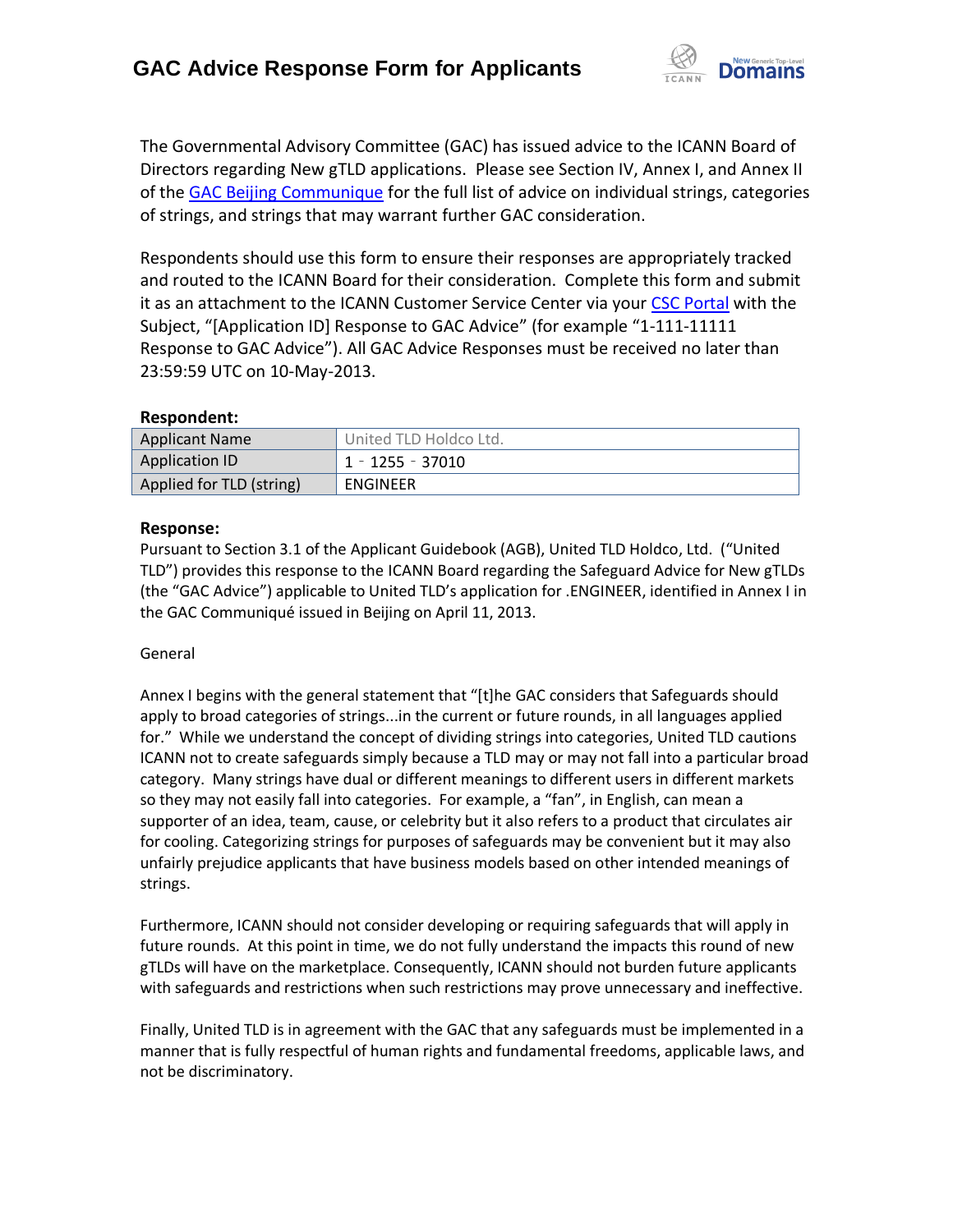

The Governmental Advisory Committee (GAC) has issued advice to the ICANN Board of Directors regarding New gTLD applications. Please see Section IV, Annex I, and Annex II of the [GAC Beijing Communique](http://www.icann.org/en/news/correspondence/gac-to-board-18apr13-en.pdf) for the full list of advice on individual strings, categories of strings, and strings that may warrant further GAC consideration.

Respondents should use this form to ensure their responses are appropriately tracked and routed to the ICANN Board for their consideration. Complete this form and submit it as an attachment to the ICANN Customer Service Center via your CSC [Portal](https://myicann.secure.force.com/) with the Subject, "[Application ID] Response to GAC Advice" (for example "1-111-11111 Response to GAC Advice"). All GAC Advice Responses must be received no later than 23:59:59 UTC on 10-May-2013.

### **Respondent:**

| <b>Applicant Name</b>    | United TLD Holdco Ltd. |
|--------------------------|------------------------|
| <b>Application ID</b>    | 1 - 1255 - 37010       |
| Applied for TLD (string) | ENGINEER               |

### **Response:**

Pursuant to Section 3.1 of the Applicant Guidebook (AGB), United TLD Holdco, Ltd. ("United TLD") provides this response to the ICANN Board regarding the Safeguard Advice for New gTLDs (the "GAC Advice") applicable to United TLD's application for .ENGINEER, identified in Annex I in the GAC Communiqué issued in Beijing on April 11, 2013.

### General

Annex I begins with the general statement that "[t]he GAC considers that Safeguards should apply to broad categories of strings...in the current or future rounds, in all languages applied for." While we understand the concept of dividing strings into categories, United TLD cautions ICANN not to create safeguards simply because a TLD may or may not fall into a particular broad category. Many strings have dual or different meanings to different users in different markets so they may not easily fall into categories. For example, a "fan", in English, can mean a supporter of an idea, team, cause, or celebrity but it also refers to a product that circulates air for cooling. Categorizing strings for purposes of safeguards may be convenient but it may also unfairly prejudice applicants that have business models based on other intended meanings of strings.

Furthermore, ICANN should not consider developing or requiring safeguards that will apply in future rounds. At this point in time, we do not fully understand the impacts this round of new gTLDs will have on the marketplace. Consequently, ICANN should not burden future applicants with safeguards and restrictions when such restrictions may prove unnecessary and ineffective.

Finally, United TLD is in agreement with the GAC that any safeguards must be implemented in a manner that is fully respectful of human rights and fundamental freedoms, applicable laws, and not be discriminatory.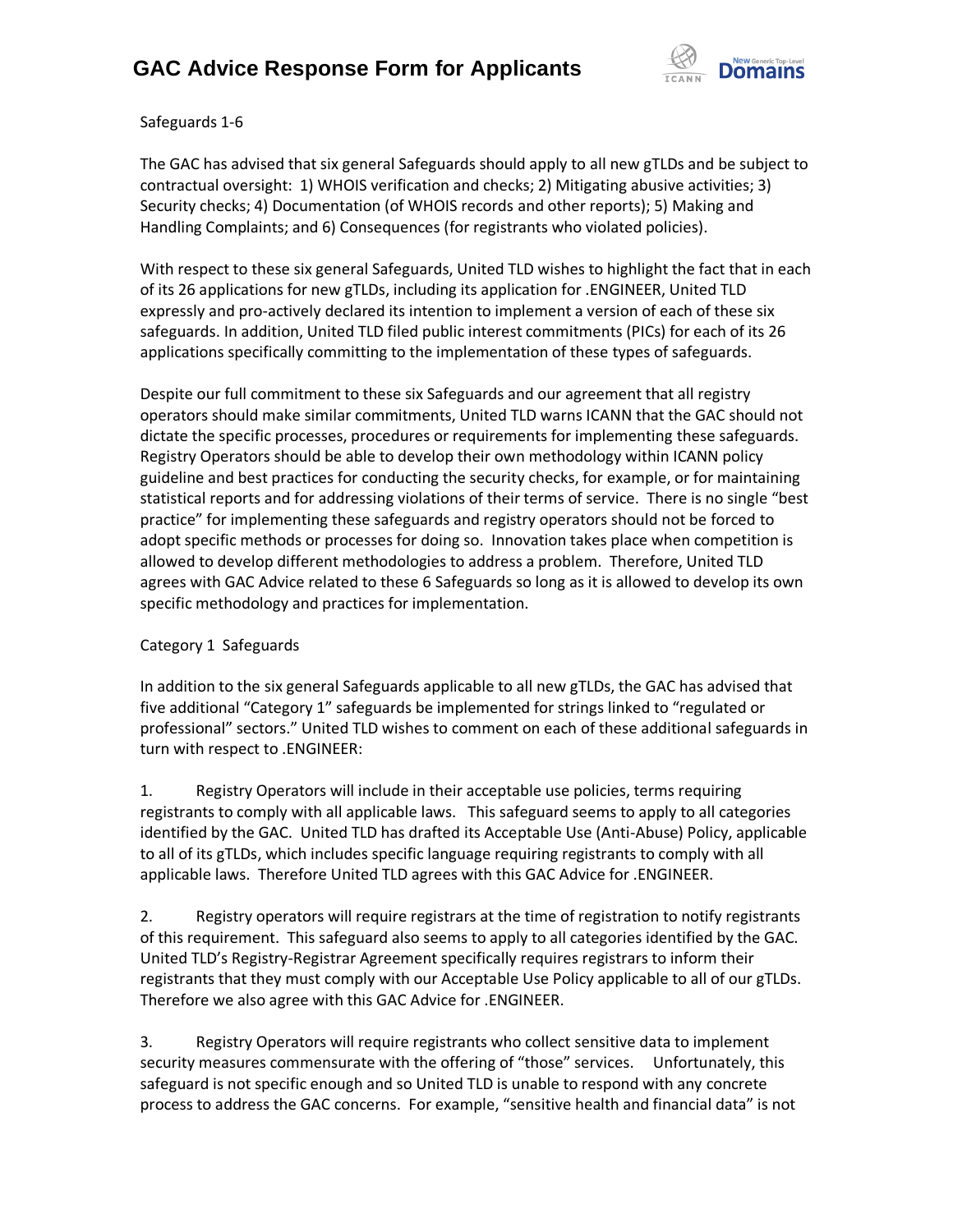

Safeguards 1-6

The GAC has advised that six general Safeguards should apply to all new gTLDs and be subject to contractual oversight: 1) WHOIS verification and checks; 2) Mitigating abusive activities; 3) Security checks; 4) Documentation (of WHOIS records and other reports); 5) Making and Handling Complaints; and 6) Consequences (for registrants who violated policies).

With respect to these six general Safeguards, United TLD wishes to highlight the fact that in each of its 26 applications for new gTLDs, including its application for .ENGINEER, United TLD expressly and pro-actively declared its intention to implement a version of each of these six safeguards. In addition, United TLD filed public interest commitments (PICs) for each of its 26 applications specifically committing to the implementation of these types of safeguards.

Despite our full commitment to these six Safeguards and our agreement that all registry operators should make similar commitments, United TLD warns ICANN that the GAC should not dictate the specific processes, procedures or requirements for implementing these safeguards. Registry Operators should be able to develop their own methodology within ICANN policy guideline and best practices for conducting the security checks, for example, or for maintaining statistical reports and for addressing violations of their terms of service. There is no single "best practice" for implementing these safeguards and registry operators should not be forced to adopt specific methods or processes for doing so. Innovation takes place when competition is allowed to develop different methodologies to address a problem. Therefore, United TLD agrees with GAC Advice related to these 6 Safeguards so long as it is allowed to develop its own specific methodology and practices for implementation.

### Category 1 Safeguards

In addition to the six general Safeguards applicable to all new gTLDs, the GAC has advised that five additional "Category 1" safeguards be implemented for strings linked to "regulated or professional" sectors." United TLD wishes to comment on each of these additional safeguards in turn with respect to .ENGINEER:

1. Registry Operators will include in their acceptable use policies, terms requiring registrants to comply with all applicable laws. This safeguard seems to apply to all categories identified by the GAC. United TLD has drafted its Acceptable Use (Anti-Abuse) Policy, applicable to all of its gTLDs, which includes specific language requiring registrants to comply with all applicable laws. Therefore United TLD agrees with this GAC Advice for .ENGINEER.

2. Registry operators will require registrars at the time of registration to notify registrants of this requirement. This safeguard also seems to apply to all categories identified by the GAC. United TLD's Registry-Registrar Agreement specifically requires registrars to inform their registrants that they must comply with our Acceptable Use Policy applicable to all of our gTLDs. Therefore we also agree with this GAC Advice for .ENGINEER.

3. Registry Operators will require registrants who collect sensitive data to implement security measures commensurate with the offering of "those" services. Unfortunately, this safeguard is not specific enough and so United TLD is unable to respond with any concrete process to address the GAC concerns. For example, "sensitive health and financial data" is not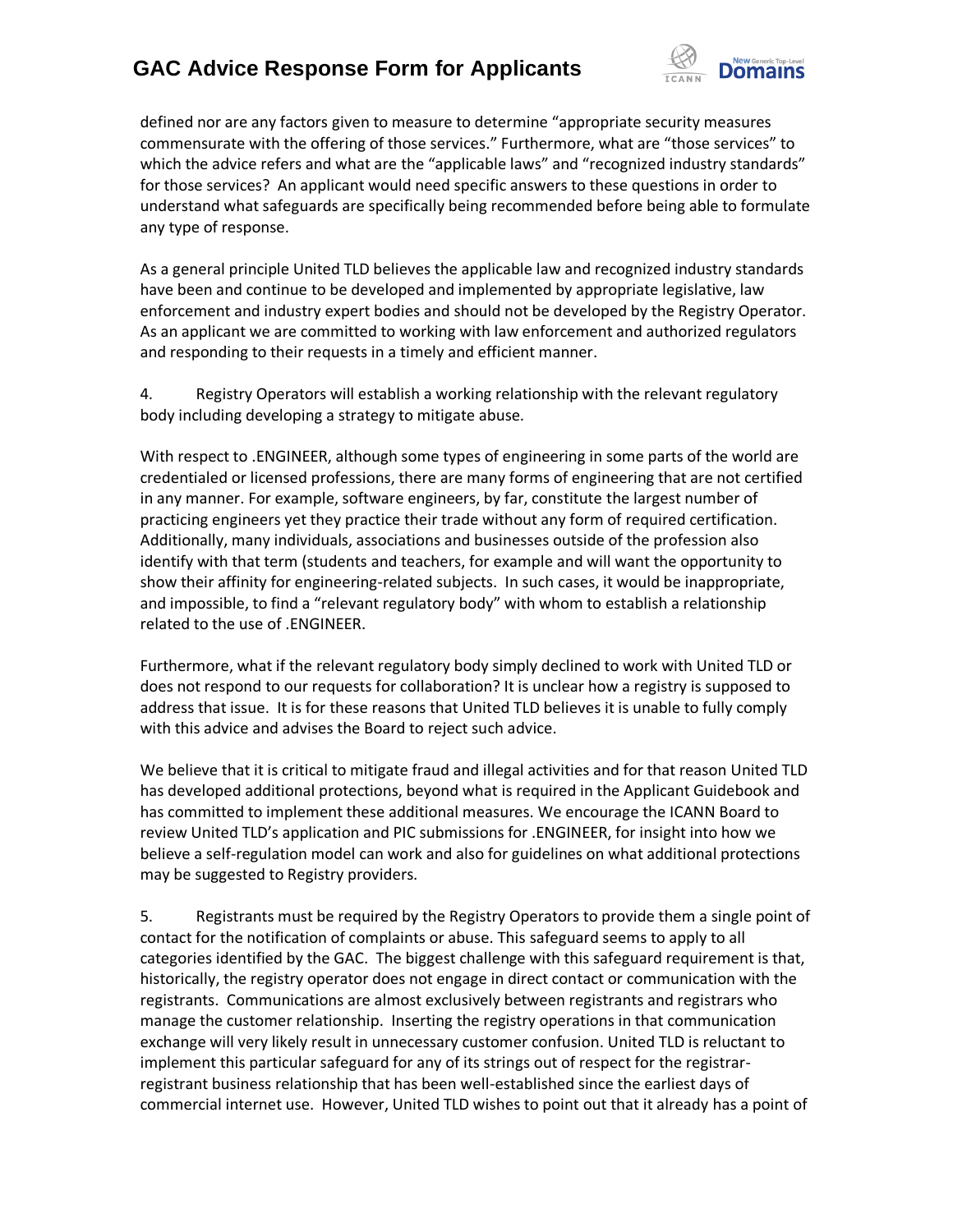

defined nor are any factors given to measure to determine "appropriate security measures commensurate with the offering of those services." Furthermore, what are "those services" to which the advice refers and what are the "applicable laws" and "recognized industry standards" for those services? An applicant would need specific answers to these questions in order to understand what safeguards are specifically being recommended before being able to formulate any type of response.

As a general principle United TLD believes the applicable law and recognized industry standards have been and continue to be developed and implemented by appropriate legislative, law enforcement and industry expert bodies and should not be developed by the Registry Operator. As an applicant we are committed to working with law enforcement and authorized regulators and responding to their requests in a timely and efficient manner.

4. Registry Operators will establish a working relationship with the relevant regulatory body including developing a strategy to mitigate abuse.

With respect to .ENGINEER, although some types of engineering in some parts of the world are credentialed or licensed professions, there are many forms of engineering that are not certified in any manner. For example, software engineers, by far, constitute the largest number of practicing engineers yet they practice their trade without any form of required certification. Additionally, many individuals, associations and businesses outside of the profession also identify with that term (students and teachers, for example and will want the opportunity to show their affinity for engineering-related subjects. In such cases, it would be inappropriate, and impossible, to find a "relevant regulatory body" with whom to establish a relationship related to the use of .ENGINEER.

Furthermore, what if the relevant regulatory body simply declined to work with United TLD or does not respond to our requests for collaboration? It is unclear how a registry is supposed to address that issue. It is for these reasons that United TLD believes it is unable to fully comply with this advice and advises the Board to reject such advice.

We believe that it is critical to mitigate fraud and illegal activities and for that reason United TLD has developed additional protections, beyond what is required in the Applicant Guidebook and has committed to implement these additional measures. We encourage the ICANN Board to review United TLD's application and PIC submissions for .ENGINEER, for insight into how we believe a self-regulation model can work and also for guidelines on what additional protections may be suggested to Registry providers.

5. Registrants must be required by the Registry Operators to provide them a single point of contact for the notification of complaints or abuse. This safeguard seems to apply to all categories identified by the GAC. The biggest challenge with this safeguard requirement is that, historically, the registry operator does not engage in direct contact or communication with the registrants. Communications are almost exclusively between registrants and registrars who manage the customer relationship. Inserting the registry operations in that communication exchange will very likely result in unnecessary customer confusion. United TLD is reluctant to implement this particular safeguard for any of its strings out of respect for the registrarregistrant business relationship that has been well-established since the earliest days of commercial internet use. However, United TLD wishes to point out that it already has a point of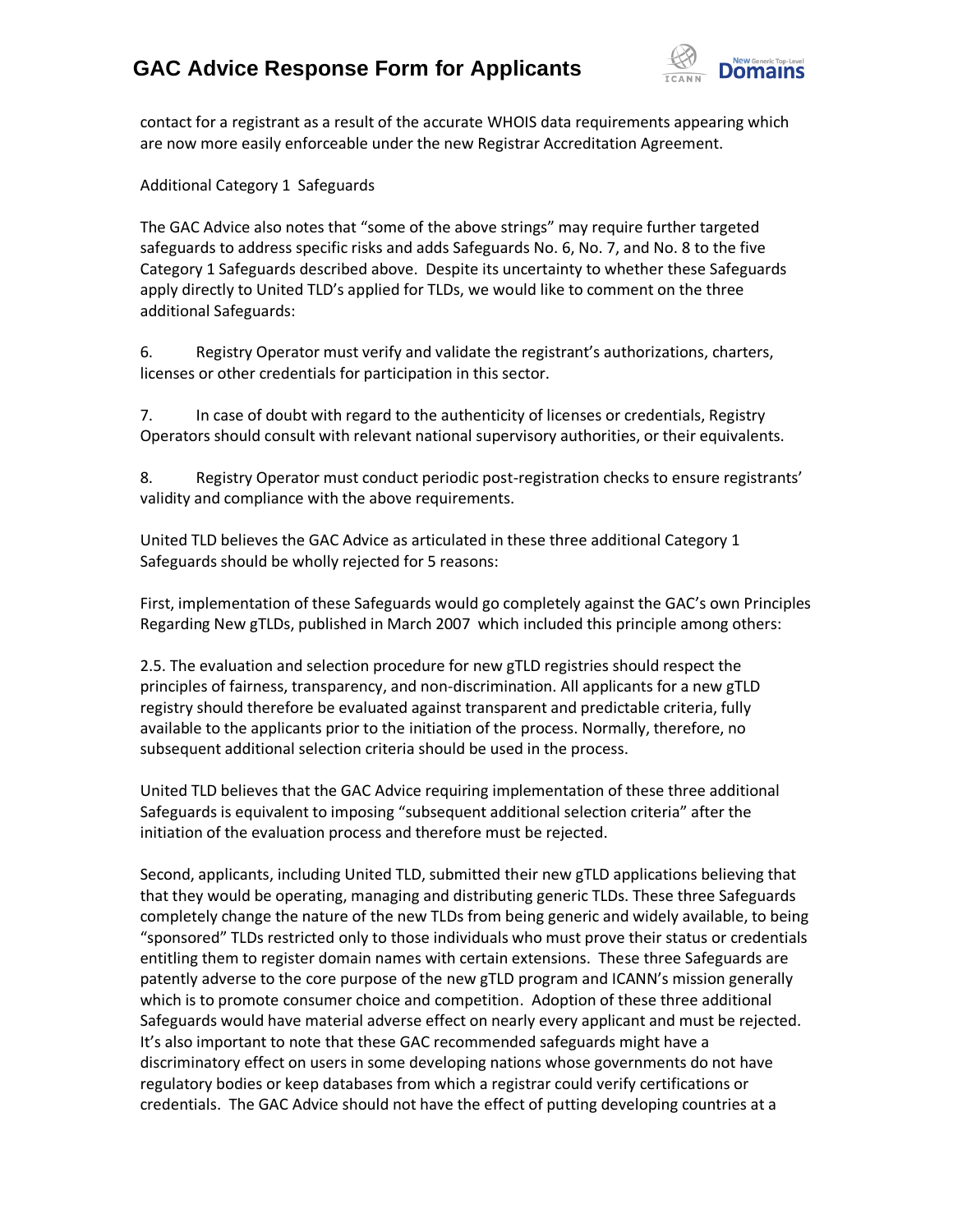

contact for a registrant as a result of the accurate WHOIS data requirements appearing which are now more easily enforceable under the new Registrar Accreditation Agreement.

Additional Category 1 Safeguards

The GAC Advice also notes that "some of the above strings" may require further targeted safeguards to address specific risks and adds Safeguards No. 6, No. 7, and No. 8 to the five Category 1 Safeguards described above. Despite its uncertainty to whether these Safeguards apply directly to United TLD's applied for TLDs, we would like to comment on the three additional Safeguards:

6. Registry Operator must verify and validate the registrant's authorizations, charters, licenses or other credentials for participation in this sector.

7. In case of doubt with regard to the authenticity of licenses or credentials, Registry Operators should consult with relevant national supervisory authorities, or their equivalents.

8. Registry Operator must conduct periodic post-registration checks to ensure registrants' validity and compliance with the above requirements.

United TLD believes the GAC Advice as articulated in these three additional Category 1 Safeguards should be wholly rejected for 5 reasons:

First, implementation of these Safeguards would go completely against the GAC's own Principles Regarding New gTLDs, published in March 2007 which included this principle among others:

2.5. The evaluation and selection procedure for new gTLD registries should respect the principles of fairness, transparency, and non-discrimination. All applicants for a new gTLD registry should therefore be evaluated against transparent and predictable criteria, fully available to the applicants prior to the initiation of the process. Normally, therefore, no subsequent additional selection criteria should be used in the process.

United TLD believes that the GAC Advice requiring implementation of these three additional Safeguards is equivalent to imposing "subsequent additional selection criteria" after the initiation of the evaluation process and therefore must be rejected.

Second, applicants, including United TLD, submitted their new gTLD applications believing that that they would be operating, managing and distributing generic TLDs. These three Safeguards completely change the nature of the new TLDs from being generic and widely available, to being "sponsored" TLDs restricted only to those individuals who must prove their status or credentials entitling them to register domain names with certain extensions. These three Safeguards are patently adverse to the core purpose of the new gTLD program and ICANN's mission generally which is to promote consumer choice and competition. Adoption of these three additional Safeguards would have material adverse effect on nearly every applicant and must be rejected. It's also important to note that these GAC recommended safeguards might have a discriminatory effect on users in some developing nations whose governments do not have regulatory bodies or keep databases from which a registrar could verify certifications or credentials. The GAC Advice should not have the effect of putting developing countries at a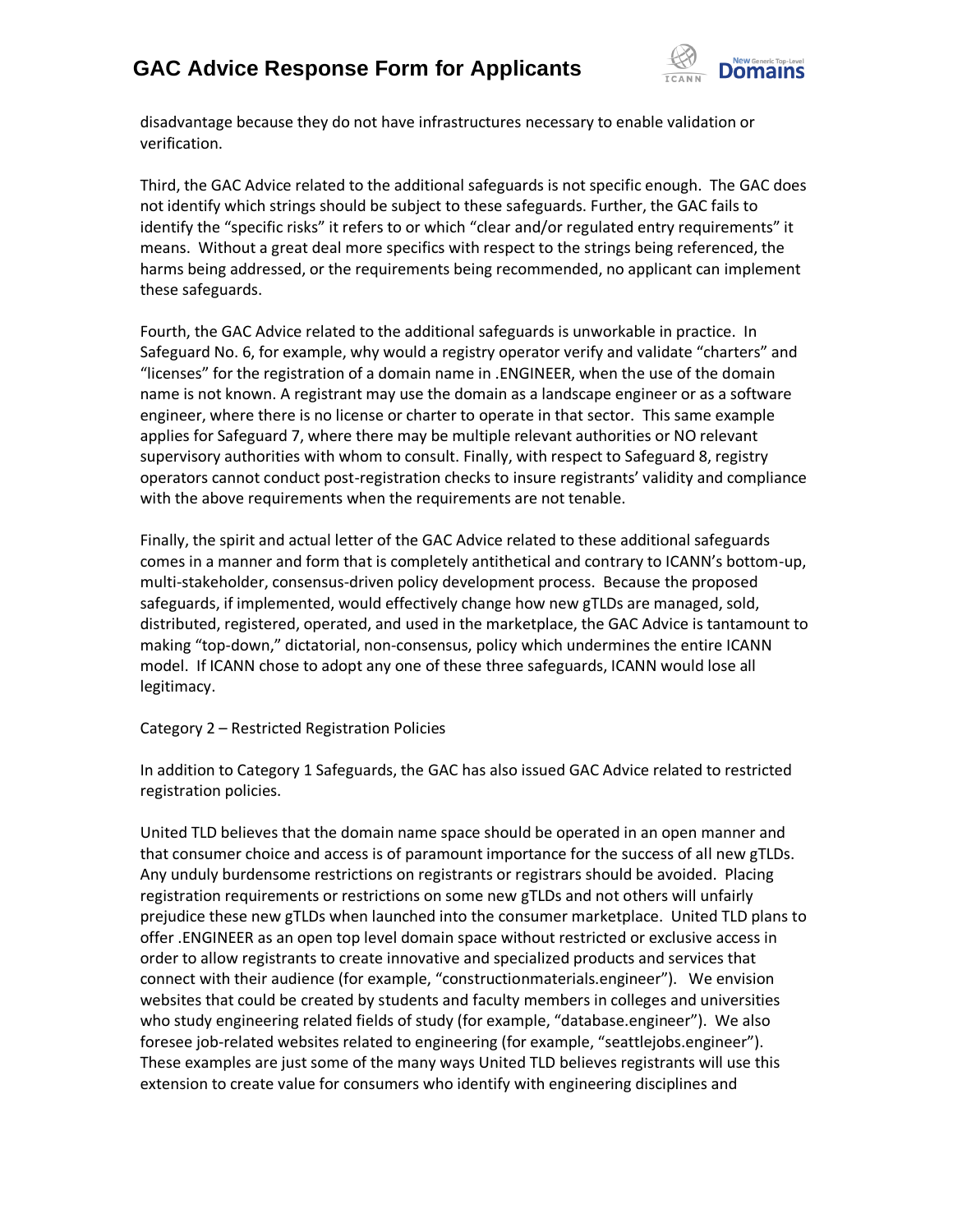

disadvantage because they do not have infrastructures necessary to enable validation or verification.

Third, the GAC Advice related to the additional safeguards is not specific enough. The GAC does not identify which strings should be subject to these safeguards. Further, the GAC fails to identify the "specific risks" it refers to or which "clear and/or regulated entry requirements" it means. Without a great deal more specifics with respect to the strings being referenced, the harms being addressed, or the requirements being recommended, no applicant can implement these safeguards.

Fourth, the GAC Advice related to the additional safeguards is unworkable in practice. In Safeguard No. 6, for example, why would a registry operator verify and validate "charters" and "licenses" for the registration of a domain name in .ENGINEER, when the use of the domain name is not known. A registrant may use the domain as a landscape engineer or as a software engineer, where there is no license or charter to operate in that sector. This same example applies for Safeguard 7, where there may be multiple relevant authorities or NO relevant supervisory authorities with whom to consult. Finally, with respect to Safeguard 8, registry operators cannot conduct post-registration checks to insure registrants' validity and compliance with the above requirements when the requirements are not tenable.

Finally, the spirit and actual letter of the GAC Advice related to these additional safeguards comes in a manner and form that is completely antithetical and contrary to ICANN's bottom-up, multi-stakeholder, consensus-driven policy development process. Because the proposed safeguards, if implemented, would effectively change how new gTLDs are managed, sold, distributed, registered, operated, and used in the marketplace, the GAC Advice is tantamount to making "top-down," dictatorial, non-consensus, policy which undermines the entire ICANN model. If ICANN chose to adopt any one of these three safeguards, ICANN would lose all legitimacy.

### Category 2 – Restricted Registration Policies

In addition to Category 1 Safeguards, the GAC has also issued GAC Advice related to restricted registration policies.

United TLD believes that the domain name space should be operated in an open manner and that consumer choice and access is of paramount importance for the success of all new gTLDs. Any unduly burdensome restrictions on registrants or registrars should be avoided. Placing registration requirements or restrictions on some new gTLDs and not others will unfairly prejudice these new gTLDs when launched into the consumer marketplace. United TLD plans to offer .ENGINEER as an open top level domain space without restricted or exclusive access in order to allow registrants to create innovative and specialized products and services that connect with their audience (for example, "constructionmaterials.engineer"). We envision websites that could be created by students and faculty members in colleges and universities who study engineering related fields of study (for example, "database.engineer"). We also foresee job-related websites related to engineering (for example, "seattlejobs.engineer"). These examples are just some of the many ways United TLD believes registrants will use this extension to create value for consumers who identify with engineering disciplines and